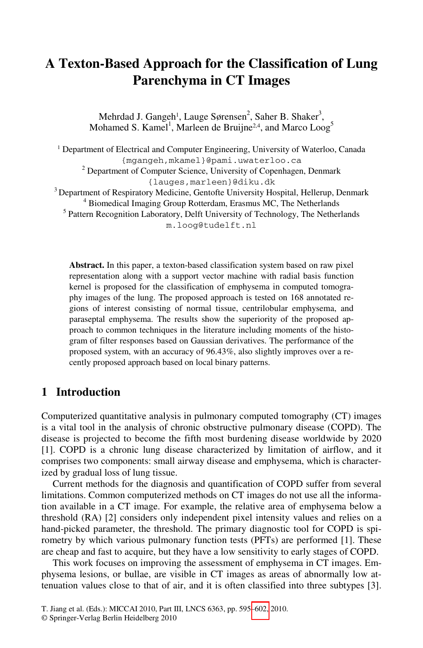# **A Texton-Based Approach for the Classification of Lung Parenchyma in CT Images**

Mehrdad J. Gangeh<sup>1</sup>, Lauge Sørensen<sup>2</sup>, Saher B. Shaker<sup>3</sup>, Mohamed S. Kamel<sup>1</sup>, Marleen de Bruijne<sup>2,4</sup>, and Marco Loog<sup>5</sup>

<sup>1</sup> Department of Electrical and Computer Engineering, University of Waterloo, Canada {mgangeh,mkamel}@pami.uwaterloo.ca <sup>2</sup> Department of Computer Science, University of Copenhagen, Denmark

{lauges,marleen}@diku.dk

<sup>3</sup> Department of Respiratory Medicine, Gentofte University Hospital, Hellerup, Denmark <sup>4</sup> Biomedical Imaging Group Rotterdam, Erasmus MC, The Netherlands

 $<sup>5</sup>$  Pattern Recognition Laboratory, Delft University of Technology, The Netherlands</sup> m.loog@tudelft.nl

**Abstract.** In this paper, a texton-based classification system based on raw pixel representation along with a support vector machine with radial basis function kernel is proposed for the classification of emphysema in computed tomography images of the lung. The proposed approach is tested on 168 annotated regions of interest consisting of normal tissue, centrilobular emphysema, and paraseptal emphysema. The results show the superiority of the proposed approach to common techniques in the literature including moments of the histogram of filter responses based on Gaussian derivatives. The performance of the proposed system, with an accuracy of 96.43%, also slightly improves over a recently proposed approach based on local binary patterns.

## **1 Introduction**

Computerized quantitative analysis in pulmonary computed tomography (CT) images is a vital tool in the analysis of chronic obstructive pulmonary disease (COPD). The disease is projected to become the fifth most burdening disease worldwide by 2020 [1]. COPD is a chronic lung disease characterized by limitation of airflow, and it comprises two components: small airway disease and emphysema, which is characterized by gradual loss of lung tissue.

Current methods for the diagnosis and quantification of COPD suffer from several limitations. Common computerized methods on CT images do not use all the information available in a CT image. For example, the relative area of emphysema below a threshold (RA) [2] considers on[ly in](#page-7-0)dependent pixel intensity values and relies on a hand-picked parameter, the threshold. The primary diagnostic tool for COPD is spirometry by which various pulmonary function tests (PFTs) are performed [1]. These are cheap and fast to acquire, but they have a low sensitivity to early stages of COPD.

This work focuses on improving the assessment of emphysema in CT images. Emphysema lesions, or bullae, are visible in CT images as areas of abnormally low attenuation values close to that of air, and it is often classified into three subtypes [3].

T. Jiang et al. (Eds.): MICCAI 2010, Part III, LNCS 6363, pp. 595–602, 2010.

<sup>©</sup> Springer-Verlag Berlin Heidelberg 2010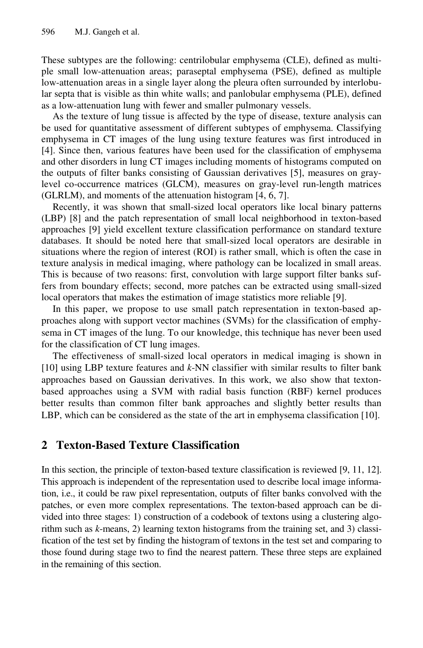These subtypes are the following: centrilobular emphysema (CLE), defined as multiple small low-attenuation areas; paraseptal emphysema (PSE), defined as multiple low-attenuation areas in a single layer along the pleura often surrounded by interlobular septa that is visible as thin white walls; and panlobular emphysema (PLE), defined as a low-attenuation lung with fewer and smaller pulmonary vessels.

As the texture of lung tissue is affected by the type of disease, texture analysis can be used for quantitative assessment of different subtypes of emphysema. Classifying emphysema in CT images of the lung using texture features was first introduced in [4]. Since then, various features have been used for the classification of emphysema and other disorders in lung CT images including moments of histograms computed on the outputs of filter banks consisting of Gaussian derivatives [5], measures on graylevel co-occurrence matrices (GLCM), measures on gray-level run-length matrices (GLRLM), and moments of the attenuation histogram [4, 6, 7].

Recently, it was shown that small-sized local operators like local binary patterns (LBP) [8] and the patch representation of small local neighborhood in texton-based approaches [9] yield excellent texture classification performance on standard texture databases. It should be noted here that small-sized local operators are desirable in situations where the region of interest (ROI) is rather small, which is often the case in texture analysis in medical imaging, where pathology can be localized in small areas. This is because of two reasons: first, convolution with large support filter banks suffers from boundary effects; second, more patches can be extracted using small-sized local operators that makes the estimation of image statistics more reliable [9].

In this paper, we propose to use small patch representation in texton-based approaches along with support vector machines (SVMs) for the classification of emphysema in CT images of the lung. To our knowledge, this technique has never been used for the classification of CT lung images.

The effectiveness of small-sized local operators in medical imaging is shown in [10] using LBP texture features and *k*-NN classifier with similar results to filter bank approaches based on Gaussian derivatives. In this work, we also show that textonbased approaches using a SVM with radial basis function (RBF) kernel produces better results than common filter bank approaches and slightly better results than LBP, which can be considered as the state of the art in emphysema classification [10].

## **2 Texton-Based Texture Classification**

In this section, the principle of texton-based texture classification is reviewed [9, 11, 12]. This approach is independent of the representation used to describe local image information, i.e., it could be raw pixel representation, outputs of filter banks convolved with the patches, or even more complex representations. The texton-based approach can be divided into three stages: 1) construction of a codebook of textons using a clustering algorithm such as *k*-means, 2) learning texton histograms from the training set, and 3) classification of the test set by finding the histogram of textons in the test set and comparing to those found during stage two to find the nearest pattern. These three steps are explained in the remaining of this section.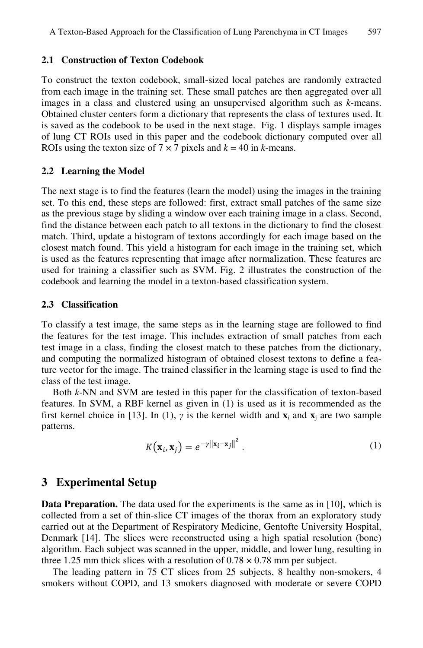#### **2.1 Construction of Texton Codebook**

To construct the texton codebook, small-sized local patches are randomly extracted from each image in the training set. These small patches are then aggregated over all images in a class and clustered using an unsupervised algorithm such as *k*-means. Obtained cluster centers form a dictionary that represents the class of textures used. It is saved as the codebook to be used in the next stage. Fig. 1 displays sample images of lung CT ROIs used in this paper and the codebook dictionary computed over all ROIs using the texton size of  $7 \times 7$  pixels and  $k = 40$  in *k*-means.

#### **2.2 Learning the Model**

The next stage is to find the features (learn the model) using the images in the training set. To this end, these steps are followed: first, extract small patches of the same size as the previous stage by sliding a window over each training image in a class. Second, find the distance between each patch to all textons in the dictionary to find the closest match. Third, update a histogram of textons accordingly for each image based on the closest match found. This yield a histogram for each image in the training set, which is used as the features representing that image after normalization. These features are used for training a classifier such as SVM. Fig. 2 illustrates the construction of the codebook and learning the model in a texton-based classification system.

#### **2.3 Classification**

To classify a test image, the same steps as in the learning stage are followed to find the features for the test image. This includes extraction of small patches from each test image in a class, finding the closest match to these patches from the dictionary, and computing the normalized histogram of obtained closest textons to define a feature vector for the image. The trained classifier in the learning stage is used to find the class of the test image.

Both *k*-NN and SVM are tested in this paper for the classification of texton-based features. In SVM, a RBF kernel as given in (1) is used as it is recommended as the first kernel choice in [13]. In (1),  $\gamma$  is the kernel width and  $\mathbf{x}_i$  and  $\mathbf{x}_i$  are two sample patterns.

$$
K(\mathbf{x}_i, \mathbf{x}_j) = e^{-\gamma ||\mathbf{x}_i - \mathbf{x}_j||^2}.
$$
 (1)

## **3 Experimental Setup**

**Data Preparation.** The data used for the experiments is the same as in [10], which is collected from a set of thin-slice CT images of the thorax from an exploratory study carried out at the Department of Respiratory Medicine, Gentofte University Hospital, Denmark [14]. The slices were reconstructed using a high spatial resolution (bone) algorithm. Each subject was scanned in the upper, middle, and lower lung, resulting in three 1.25 mm thick slices with a resolution of  $0.78 \times 0.78$  mm per subject.

The leading pattern in 75 CT slices from 25 subjects, 8 healthy non-smokers, 4 smokers without COPD, and 13 smokers diagnosed with moderate or severe COPD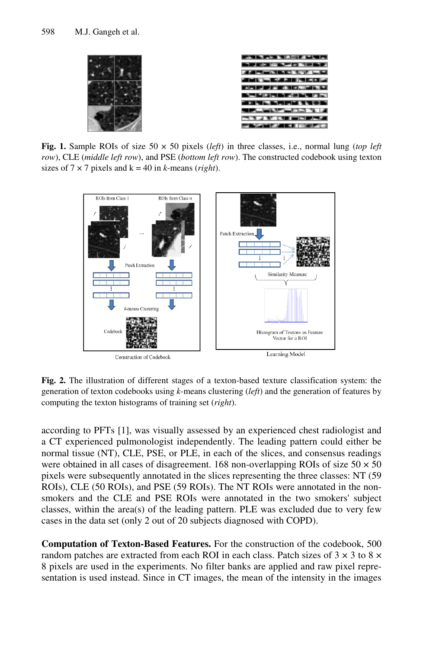

**Fig. 1.** Sample ROIs of size  $50 \times 50$  pixels (*left*) in three classes, i.e., normal lung (*top left*) *row*), CLE (*middle left row*), and PSE (*bottom left row*). The constructed codebook using texton sizes of  $7 \times 7$  pixels and  $k = 40$  in *k*-means (*right*).



**Fig. 2.** The illustration of different stages of a texton-based texture classification system: the generation of texton codebooks using *k*-means clustering (*left*) and the generation of features by computing the texton histograms of training set (*right*).

according to PFTs [1], was visually assessed by an experienced chest radiologist and a CT experienced pulmonologist independently. The leading pattern could either be normal tissue (NT), CLE, PSE, or PLE, in each of the slices, and consensus readings were obtained in all cases of disagreement. 168 non-overlapping ROIs of size  $50 \times 50$ pixels were subsequently annotated in the slices representing the three classes: NT (59 ROIs), CLE (50 ROIs), and PSE (59 ROIs). The NT ROIs were annotated in the nonsmokers and the CLE and PSE ROIs were annotated in the two smokers' subject classes, within the area(s) of the leading pattern. PLE was excluded due to very few cases in the data set (only 2 out of 20 subjects diagnosed with COPD).

**Computation of Texton-Based Features.** For the construction of the codebook, 500 random patches are extracted from each ROI in each class. Patch sizes of  $3 \times 3$  to  $8 \times$ 8 pixels are used in the experiments. No filter banks are applied and raw pixel representation is used instead. Since in CT images, the mean of the intensity in the images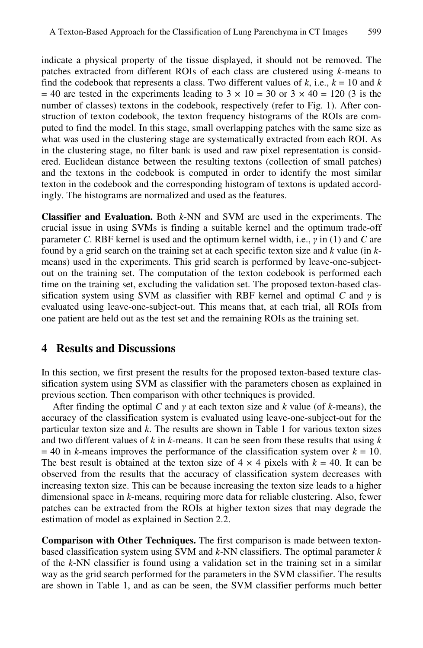indicate a physical property of the tissue displayed, it should not be removed. The patches extracted from different ROIs of each class are clustered using *k*-means to find the codebook that represents a class. Two different values of  $k$ , i.e.,  $k = 10$  and  $k$  $= 40$  are tested in the experiments leading to  $3 \times 10 = 30$  or  $3 \times 40 = 120$  (3 is the number of classes) textons in the codebook, respectively (refer to Fig. 1). After construction of texton codebook, the texton frequency histograms of the ROIs are computed to find the model. In this stage, small overlapping patches with the same size as what was used in the clustering stage are systematically extracted from each ROI. As in the clustering stage, no filter bank is used and raw pixel representation is considered. Euclidean distance between the resulting textons (collection of small patches) and the textons in the codebook is computed in order to identify the most similar texton in the codebook and the corresponding histogram of textons is updated accordingly. The histograms are normalized and used as the features.

**Classifier and Evaluation.** Both *k*-NN and SVM are used in the experiments. The crucial issue in using SVMs is finding a suitable kernel and the optimum trade-off parameter *C*. RBF kernel is used and the optimum kernel width, i.e., *γ* in (1) and *C* are found by a grid search on the training set at each specific texton size and *k* value (in *k*means) used in the experiments. This grid search is performed by leave-one-subjectout on the training set. The computation of the texton codebook is performed each time on the training set, excluding the validation set. The proposed texton-based classification system using SVM as classifier with RBF kernel and optimal *C* and *γ* is evaluated using leave-one-subject-out. This means that, at each trial, all ROIs from one patient are held out as the test set and the remaining ROIs as the training set.

## **4 Results and Discussions**

In this section, we first present the results for the proposed texton-based texture classification system using SVM as classifier with the parameters chosen as explained in previous section. Then comparison with other techniques is provided.

After finding the optimal *C* and *γ* at each texton size and *k* value (of *k*-means), the accuracy of the classification system is evaluated using leave-one-subject-out for the particular texton size and *k*. The results are shown in Table 1 for various texton sizes and two different values of *k* in *k*-means. It can be seen from these results that using *k*  $= 40$  in *k*-means improves the performance of the classification system over  $k = 10$ . The best result is obtained at the texton size of  $4 \times 4$  pixels with  $k = 40$ . It can be observed from the results that the accuracy of classification system decreases with increasing texton size. This can be because increasing the texton size leads to a higher dimensional space in *k*-means, requiring more data for reliable clustering. Also, fewer patches can be extracted from the ROIs at higher texton sizes that may degrade the estimation of model as explained in Section 2.2.

**Comparison with Other Techniques.** The first comparison is made between textonbased classification system using SVM and *k*-NN classifiers. The optimal parameter *k* of the *k*-NN classifier is found using a validation set in the training set in a similar way as the grid search performed for the parameters in the SVM classifier. The results are shown in Table 1, and as can be seen, the SVM classifier performs much better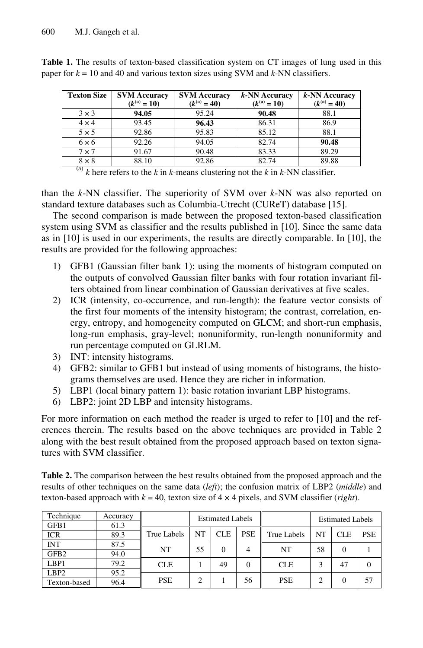| <b>Texton Size</b> | <b>SVM Accuracy</b><br>$(k^{(a)} = 10)$ | <b>SVM Accuracy</b><br>$(k^{(a)} = 40)$ | k-NN Accuracy<br>$(k^{(a)} = 10)$ | $k$ -NN Accuracy<br>$(k^{(a)} = 40)$ |  |
|--------------------|-----------------------------------------|-----------------------------------------|-----------------------------------|--------------------------------------|--|
|                    |                                         |                                         |                                   |                                      |  |
| $3 \times 3$       | 94.05                                   | 95.24                                   | 90.48                             | 88.1                                 |  |
| $4 \times 4$       | 93.45                                   | 96.43                                   | 86.31                             | 86.9                                 |  |
| $5 \times 5$       | 92.86                                   | 95.83                                   | 85.12                             | 88.1                                 |  |
| $6 \times 6$       | 92.26                                   | 94.05                                   | 82.74                             | 90.48                                |  |
| $7 \times 7$       | 91.67                                   | 90.48                                   | 83.33                             | 89.29                                |  |
| $8 \times 8$       | 88.10                                   | 92.86                                   | 82.74                             | 89.88                                |  |

**Table 1.** The results of texton-based classification system on CT images of lung used in this paper for  $k = 10$  and 40 and various texton sizes using SVM and  $k$ -NN classifiers.

 $\frac{f^{(a)}}{k}$  *k* here refers to the *k* in *k*-means clustering not the *k* in *k*-NN classifier.

than the *k*-NN classifier. The superiority of SVM over *k*-NN was also reported on standard texture databases such as Columbia-Utrecht (CUReT) database [15].

The second comparison is made between the proposed texton-based classification system using SVM as classifier and the results published in [10]. Since the same data as in [10] is used in our experiments, the results are directly comparable. In [10], the results are provided for the following approaches:

- 1) GFB1 (Gaussian filter bank 1): using the moments of histogram computed on the outputs of convolved Gaussian filter banks with four rotation invariant filters obtained from linear combination of Gaussian derivatives at five scales.
- 2) ICR (intensity, co-occurrence, and run-length): the feature vector consists of the first four moments of the intensity histogram; the contrast, correlation, energy, entropy, and homogeneity computed on GLCM; and short-run emphasis, long-run emphasis, gray-level; nonuniformity, run-length nonuniformity and run percentage computed on GLRLM.
- 3) INT: intensity histograms.
- 4) GFB2: similar to GFB1 but instead of using moments of histograms, the histograms themselves are used. Hence they are richer in information.
- 5) LBP1 (local binary pattern 1): basic rotation invariant LBP histograms.
- 6) LBP2: joint 2D LBP and intensity histograms.

For more information on each method the reader is urged to refer to [10] and the references therein. The results based on the above techniques are provided in Table 2 along with the best result obtained from the proposed approach based on texton signatures with SVM classifier.

**Table 2.** The comparison between the best results obtained from the proposed approach and the results of other techniques on the same data (*left*); the confusion matrix of LBP2 (*middle*) and texton-based approach with  $k = 40$ , texton size of  $4 \times 4$  pixels, and SVM classifier (*right*).

| Technique<br>GFB1 | Accuracy<br>61.3 |             | <b>Estimated Labels</b> |            |            |             | <b>Estimated Labels</b> |            |            |
|-------------------|------------------|-------------|-------------------------|------------|------------|-------------|-------------------------|------------|------------|
| <b>ICR</b>        | 89.3             | True Labels | NT                      | <b>CLE</b> | <b>PSE</b> | True Labels | NT                      | <b>CLE</b> | <b>PSE</b> |
| <b>INT</b>        | 87.5             | NT          | 55                      | 0          | 4          | NT          | 58                      | $\Omega$   |            |
| GFB <sub>2</sub>  | 94.0             |             |                         |            |            |             |                         |            |            |
| LBP1              | 79.2             | <b>CLE</b>  |                         | 49         | $\Omega$   | <b>CLE</b>  |                         | 47         |            |
| LBP <sub>2</sub>  | 95.2             |             |                         |            |            |             |                         |            |            |
| Texton-based      | 96.4             | <b>PSE</b>  |                         |            | 56         | <b>PSE</b>  | າ                       | 0          | 57         |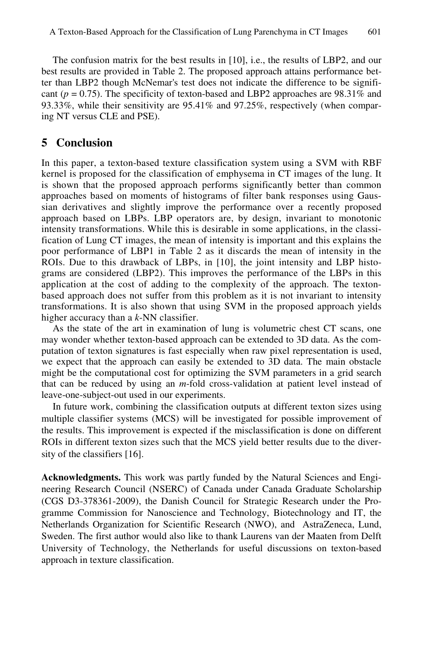The confusion matrix for the best results in [10], i.e., the results of LBP2, and our best results are provided in Table 2. The proposed approach attains performance better than LBP2 though McNemar's test does not indicate the difference to be significant ( $p = 0.75$ ). The specificity of texton-based and LBP2 approaches are 98.31% and 93.33%, while their sensitivity are 95.41% and 97.25%, respectively (when comparing NT versus CLE and PSE).

## **5 Conclusion**

In this paper, a texton-based texture classification system using a SVM with RBF kernel is proposed for the classification of emphysema in CT images of the lung. It is shown that the proposed approach performs significantly better than common approaches based on moments of histograms of filter bank responses using Gaussian derivatives and slightly improve the performance over a recently proposed approach based on LBPs. LBP operators are, by design, invariant to monotonic intensity transformations. While this is desirable in some applications, in the classification of Lung CT images, the mean of intensity is important and this explains the poor performance of LBP1 in Table 2 as it discards the mean of intensity in the ROIs. Due to this drawback of LBPs, in [10], the joint intensity and LBP histograms are considered (LBP2). This improves the performance of the LBPs in this application at the cost of adding to the complexity of the approach. The textonbased approach does not suffer from this problem as it is not invariant to intensity transformations. It is also shown that using SVM in the proposed approach yields higher accuracy than a *k*-NN classifier.

As the state of the art in examination of lung is volumetric chest CT scans, one may wonder whether texton-based approach can be extended to 3D data. As the computation of texton signatures is fast especially when raw pixel representation is used, we expect that the approach can easily be extended to 3D data. The main obstacle might be the computational cost for optimizing the SVM parameters in a grid search that can be reduced by using an *m*-fold cross-validation at patient level instead of leave-one-subject-out used in our experiments.

In future work, combining the classification outputs at different texton sizes using multiple classifier systems (MCS) will be investigated for possible improvement of the results. This improvement is expected if the misclassification is done on different ROIs in different texton sizes such that the MCS yield better results due to the diversity of the classifiers [16].

**Acknowledgments.** This work was partly funded by the Natural Sciences and Engineering Research Council (NSERC) of Canada under Canada Graduate Scholarship (CGS D3-378361-2009), the Danish Council for Strategic Research under the Programme Commission for Nanoscience and Technology, Biotechnology and IT, the Netherlands Organization for Scientific Research (NWO), and AstraZeneca, Lund, Sweden. The first author would also like to thank Laurens van der Maaten from Delft University of Technology, the Netherlands for useful discussions on texton-based approach in texture classification.